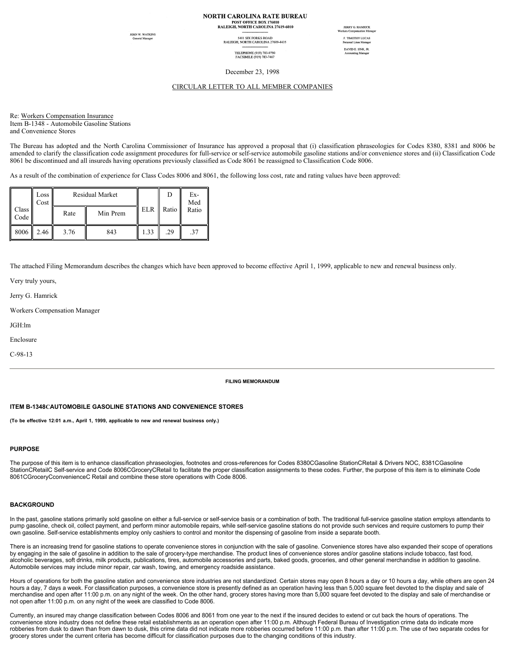# **NORTH CAROLINA RATE BUREAU** POST OFFICE BOX 176010<br>RALEIGH, NORTH CAROLINA 27619-6010

**OHN W. WATKINS**<br>General Manager

5401 SIX FORKS ROAD<br>RALEIGH, NORTH CAROLINA 27609-4435 TELEPHONE (919) 783-9790<br>FACSIMILE (919) 783-7467

**JERRY G. HAMRICK** F. TIMOTHY LUCAS DAVID E. SINK, JR.<br>Accounting Manager

December 23, 1998

#### CIRCULAR LETTER TO ALL MEMBER COMPANIES

Re: Workers Compensation Insurance Item B-1348 - Automobile Gasoline Stations and Convenience Stores

The Bureau has adopted and the North Carolina Commissioner of Insurance has approved a proposal that (i) classification phraseologies for Codes 8380, 8381 and 8006 be amended to clarify the classification code assignment procedures for full-service or self-service automobile gasoline stations and/or convenience stores and (ii) Classification Code 8061 be discontinued and all insureds having operations previously classified as Code 8061 be reassigned to Classification Code 8006.

As a result of the combination of experience for Class Codes 8006 and 8061, the following loss cost, rate and rating values have been approved:

|               | Loss<br>Cost | <b>Residual Market</b> |          |      |             | Ex-<br>Med |
|---------------|--------------|------------------------|----------|------|-------------|------------|
| Class<br>Code |              | Rate                   | Min Prem |      | ELR   Ratio | Ratio      |
| 8006          | 2.46         | 3.76                   | 843      | 1.33 | .29         | .37        |

The attached Filing Memorandum describes the changes which have been approved to become effective April 1, 1999, applicable to new and renewal business only.

Very truly yours,

Jerry G. Hamrick

Workers Compensation Manager

JGH:lm

Enclosure

C-98-13

## **FILING MEMORANDUM**

#### **ITEM B-1348CAUTOMOBILE GASOLINE STATIONS AND CONVENIENCE STORES**

**(To be effective 12:01 a.m., April 1, 1999, applicable to new and renewal business only.)**

#### **PURPOSE**

The purpose of this item is to enhance classification phraseologies, footnotes and cross-references for Codes 8380CGasoline StationCRetail & Drivers NOC, 8381CGasoline StationCRetailC Self-service and Code 8006CGroceryCRetail to facilitate the proper classification assignments to these codes. Further, the purpose of this item is to eliminate Code 8061CGroceryCconvenienceC Retail and combine these store operations with Code 8006.

## **BACKGROUND**

In the past, gasoline stations primarily sold gasoline on either a full-service or self-service basis or a combination of both. The traditional full-service gasoline station employs attendants to pump gasoline, check oil, collect payment, and perform minor automobile repairs, while self-service gasoline stations do not provide such services and require customers to pump their own gasoline. Self-service establishments employ only cashiers to control and monitor the dispensing of gasoline from inside a separate booth.

There is an increasing trend for gasoline stations to operate convenience stores in conjunction with the sale of gasoline. Convenience stores have also expanded their scope of operations by engaging in the sale of gasoline in addition to the sale of grocery-type merchandise. The product lines of convenience stores and/or gasoline stations include tobacco, fast food, alcoholic beverages, soft drinks, milk products, publications, tires, automobile accessories and parts, baked goods, groceries, and other general merchandise in addition to gasoline. Automobile services may include minor repair, car wash, towing, and emergency roadside assistance.

Hours of operations for both the gasoline station and convenience store industries are not standardized. Certain stores may open 8 hours a day or 10 hours a day, while others are open 24 hours a day, 7 days a week. For classification purposes, a convenience store is presently defined as an operation having less than 5,000 square feet devoted to the display and sale of merchandise and open after 11:00 p.m. on any night of the week. On the other hand, grocery stores having more than 5,000 square feet devoted to the display and sale of merchandise or not open after 11:00 p.m. on any night of the week are classified to Code 8006.

Currently, an insured may change classification between Codes 8006 and 8061 from one year to the next if the insured decides to extend or cut back the hours of operations. The convenience store industry does not define these retail establishments as an operation open after 11:00 p.m. Although Federal Bureau of Investigation crime data do indicate more robberies from dusk to dawn than from dawn to dusk, this crime data did not indicate more robberies occurred before 11:00 p.m. than after 11:00 p.m. The use of two separate codes for grocery stores under the current criteria has become difficult for classification purposes due to the changing conditions of this industry.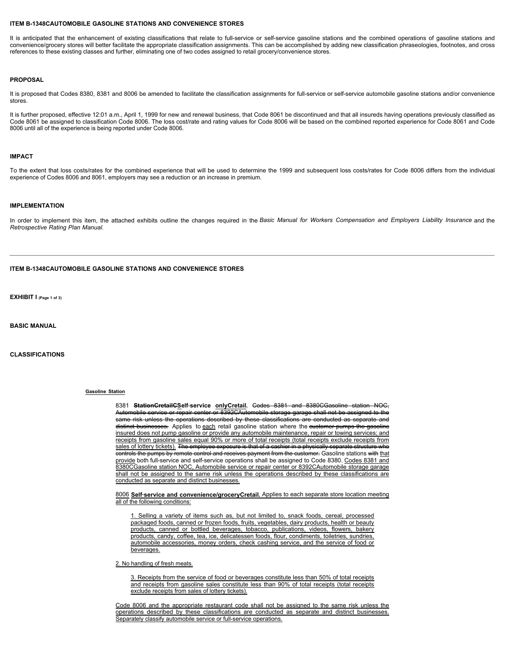#### **ITEM B-1348CAUTOMOBILE GASOLINE STATIONS AND CONVENIENCE STORES**

It is anticipated that the enhancement of existing classifications that relate to full-service or self-service gasoline stations and the combined operations of gasoline stations and convenience/grocery stores will better facilitate the appropriate classification assignments. This can be accomplished by adding new classification phraseologies, footnotes, and cross references to these existing classes and further, eliminating one of two codes assigned to retail grocery/convenience stores.

#### **PROPOSAL**

It is proposed that Codes 8380, 8381 and 8006 be amended to facilitate the classification assignments for full-service or self-service automobile gasoline stations and/or convenience stores.

It is further proposed, effective 12:01 a.m., April 1, 1999 for new and renewal business, that Code 8061 be discontinued and that all insureds having operations previously classified as Code 8061 be assigned to classification Code 8006. The loss cost/rate and rating values for Code 8006 will be based on the combined reported experience for Code 8061 and Code 8006 until all of the experience is being reported under Code 8006.

#### **IMPACT**

To the extent that loss costs/rates for the combined experience that will be used to determine the 1999 and subsequent loss costs/rates for Code 8006 differs from the individual experience of Codes 8006 and 8061, employers may see a reduction or an increase in premium.

#### **IMPLEMENTATION**

In order to implement this item, the attached exhibits outline the changes required in the *Basic Manual for Workers Compensation and Employers Liability Insurance* and the *Retrospective Rating Plan Manual*.

#### **ITEM B-1348CAUTOMOBILE GASOLINE STATIONS AND CONVENIENCE STORES**

**EXHIBIT I (Page 1 of 3)**

**BASIC MANUAL**

**CLASSIFICATIONS**

#### **Gasoline Station**

8381 **StationCretailCSelf**-**service onlyCretail.** Codes 8381 and 8380CGasoline station NOC, Automobile service or repair center or 8392CAutomobile storage garage shall not be assigned to the same risk unless the operations described by these classifications are conducted as separate and distinct businesses. Applies to each retail gasoline station where the eustomer pumps the gasoline insured does not pump gasoline or provide any automobile maintenance, repair or towing services; and receipts from gasoline sales equal 90% or more of total receipts (total receipts exclude receipts from sales of lottery tickets). The employee exposure is that of a cashier in a physically separate structure who controls the pumps by remote control and receives payment from the customer. Gasoline stations with that provide both full-service and self-service operations shall be assigned to Code 8380. Codes 8381 and 8380CGasoline station NOC, Automobile service or repair center or 8392CAutomobile storage garage shall not be assigned to the same risk unless the operations described by these classifications are conducted as separate and distinct businesses.

8006 **Self**-**service and convenience/groceryCretail.** Applies to each separate store location meeting all of the following conditions:

1. Selling a variety of items such as, but not limited to, snack foods, cereal, processed packaged foods, canned or frozen foods, fruits, vegetables, dairy products, health or beauty products, canned or bottled beverages, tobacco, publications, videos, flowers, bakery products, candy, coffee, tea, ice, delicatessen foods, flour, condiments, toiletries, sundries, automobile accessories, money orders, check cashing service, and the service of food or beverages.

2. No handling of fresh meats.

3. Receipts from the service of food or beverages constitute less than 50% of total receipts and receipts from gasoline sales constitute less than 90% of total receipts (total receipts exclude receipts from sales of lottery tickets).

Code 8006 and the appropriate restaurant code shall not be assigned to the same risk unless the operations described by these classifications are conducted as separate and distinct businesses. Separately classify automobile service or full-service operations.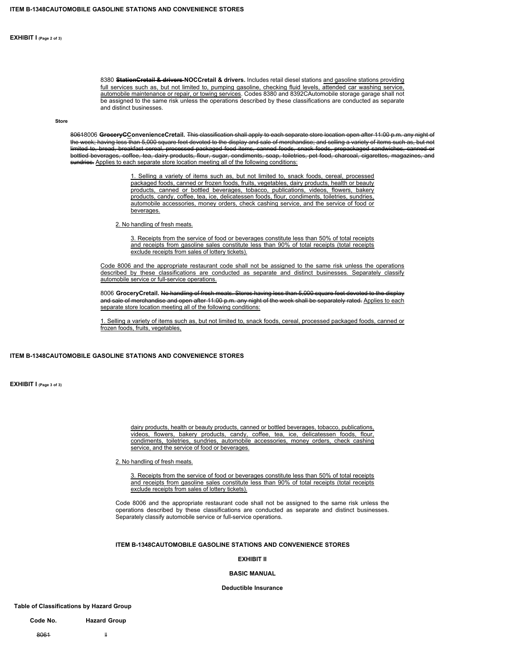**EXHIBIT I (Page 2 of 3)**

8380 **StationCretail & drivers NOCCretail & drivers.** Includes retail diesel stations and gasoline stations providing full services such as, but not limited to, pumping gasoline, checking fluid levels, attended car washing service, automobile maintenance or repair, or towing services. Codes 8380 and 8392CAutomobile storage garage shall not be assigned to the same risk unless the operations described by these classifications are conducted as separate and distinct businesses.

**Store**

80618006 **GroceryCConvenienceCretail.** This classification shall apply to each separate store location open after 11:00 p.m. any night of the week; having less than 5,000 square feet devoted to the display and sale of merchandise; and selling a variety of items such as, but not limited to, bread, breakfast cereal, processed packaged food items, canned foods, snack foods, prepackaged sandwiches, canned or bottled beverages, coffee, tea, dairy products, flour, sugar, condiments, soap, toiletries, pet food, charcoal, cigarettes, magazines, and sundries. Applies to each separate store location meeting all of the following conditions:

> 1. Selling a variety of items such as, but not limited to, snack foods, cereal, processed packaged foods, canned or frozen foods, fruits, vegetables, dairy products, health or beauty products, canned or bottled beverages, tobacco, publications, videos, flowers, bakery products, candy, coffee, tea, ice, delicatessen foods, flour, condiments, toiletries, sundries, automobile accessories, money orders, check cashing service, and the service of food or beverages.

2. No handling of fresh meats.

3. Receipts from the service of food or beverages constitute less than 50% of total receipts and receipts from gasoline sales constitute less than 90% of total receipts (total receipts exclude receipts from sales of lottery tickets).

Code 8006 and the appropriate restaurant code shall not be assigned to the same risk unless the operations described by these classifications are conducted as separate and distinct businesses. Separately classify automobile service or full-service operations.

8006 **GroceryCretail.** No handling of fresh meats. Stores having less than 5,000 square feet devoted to the display and sale of merchandise and open after 11:00 p.m. any night of the week shall be separately rated. Applies to each separate store location meeting all of the following conditions:

1. Selling a variety of items such as, but not limited to, snack foods, cereal, processed packaged foods, canned or frozen foods, fruits, vegetables,

#### **ITEM B-1348CAUTOMOBILE GASOLINE STATIONS AND CONVENIENCE STORES**

**EXHIBIT I (Page 3 of 3)**

dairy products, health or beauty products, canned or bottled beverages, tobacco, publications, videos, flowers, bakery products, candy, coffee, tea, ice, delicatessen foods, flour, condiments, toiletries, sundries, automobile accessories, money orders, check cashing service, and the service of food or beverages.

## 2. No handling of fresh meats.

3. Receipts from the service of food or beverages constitute less than 50% of total receipts and receipts from gasoline sales constitute less than 90% of total receipts (total receipts exclude receipts from sales of lottery tickets).

Code 8006 and the appropriate restaurant code shall not be assigned to the same risk unless the operations described by these classifications are conducted as separate and distinct businesses. Separately classify automobile service or full-service operations.

## **ITEM B-1348CAUTOMOBILE GASOLINE STATIONS AND CONVENIENCE STORES**

## **EXHIBIT II**

#### **BASIC MANUAL**

**Deductible Insurance**

**Table of Classifications by Hazard Group**

**Code No. Hazard Group**

8061 II